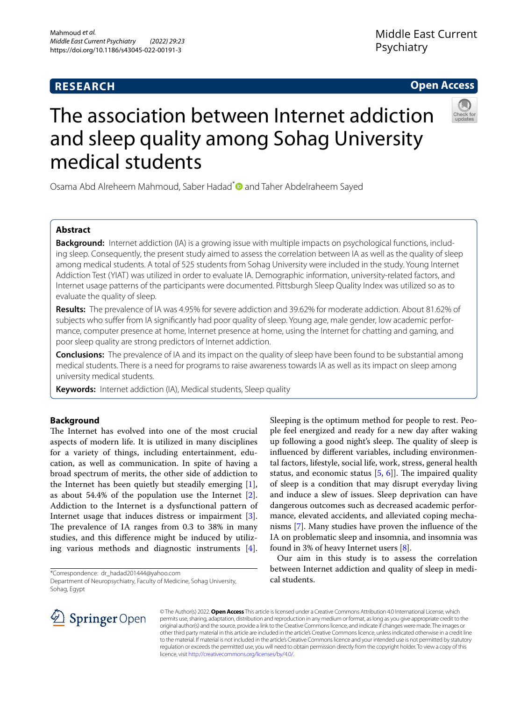# **RESEARCH**

# **Open Access**



# The association between Internet addiction and sleep quality among Sohag University medical students

Osama Abd Alreheem Mahmoud, Saber Hadad[\\*](http://orcid.org/0000-0002-3960-0121)<sup>o</sup> and Taher Abdelraheem Sayed

# **Abstract**

**Background:** Internet addiction (IA) is a growing issue with multiple impacts on psychological functions, including sleep. Consequently, the present study aimed to assess the correlation between IA as well as the quality of sleep among medical students. A total of 525 students from Sohag University were included in the study. Young Internet Addiction Test (YIAT) was utilized in order to evaluate IA. Demographic information, university-related factors, and Internet usage patterns of the participants were documented. Pittsburgh Sleep Quality Index was utilized so as to evaluate the quality of sleep.

**Results:** The prevalence of IA was 4.95% for severe addiction and 39.62% for moderate addiction. About 81.62% of subjects who sufer from IA signifcantly had poor quality of sleep. Young age, male gender, low academic performance, computer presence at home, Internet presence at home, using the Internet for chatting and gaming, and poor sleep quality are strong predictors of Internet addiction.

**Conclusions:** The prevalence of IA and its impact on the quality of sleep have been found to be substantial among medical students. There is a need for programs to raise awareness towards IA as well as its impact on sleep among university medical students.

**Keywords:** Internet addiction (IA), Medical students, Sleep quality

# **Background**

The Internet has evolved into one of the most crucial aspects of modern life. It is utilized in many disciplines for a variety of things, including entertainment, education, as well as communication. In spite of having a broad spectrum of merits, the other side of addiction to the Internet has been quietly but steadily emerging [\[1](#page-4-0)], as about 54.4% of the population use the Internet [\[2](#page-4-1)]. Addiction to the Internet is a dysfunctional pattern of Internet usage that induces distress or impairment [\[3](#page-4-2)]. The prevalence of IA ranges from  $0.3$  to  $38\%$  in many studies, and this diference might be induced by utilizing various methods and diagnostic instruments  $[4]$  $[4]$ .

\*Correspondence: dr\_hadad201444@yahoo.com

Department of Neuropsychiatry, Faculty of Medicine, Sohag University, Sohag, Egypt



Sleeping is the optimum method for people to rest. People feel energized and ready for a new day after waking up following a good night's sleep. The quality of sleep is infuenced by diferent variables, including environmental factors, lifestyle, social life, work, stress, general health status, and economic status  $[5, 6]$  $[5, 6]$  $[5, 6]$  $[5, 6]$ . The impaired quality of sleep is a condition that may disrupt everyday living and induce a slew of issues. Sleep deprivation can have dangerous outcomes such as decreased academic performance, elevated accidents, and alleviated coping mechanisms [[7\]](#page-4-6). Many studies have proven the infuence of the IA on problematic sleep and insomnia, and insomnia was found in 3% of heavy Internet users [\[8](#page-4-7)].

Our aim in this study is to assess the correlation between Internet addiction and quality of sleep in medical students.

© The Author(s) 2022. **Open Access** This article is licensed under a Creative Commons Attribution 4.0 International License, which permits use, sharing, adaptation, distribution and reproduction in any medium or format, as long as you give appropriate credit to the original author(s) and the source, provide a link to the Creative Commons licence, and indicate if changes were made. The images or other third party material in this article are included in the article's Creative Commons licence, unless indicated otherwise in a credit line to the material. If material is not included in the article's Creative Commons licence and your intended use is not permitted by statutory regulation or exceeds the permitted use, you will need to obtain permission directly from the copyright holder. To view a copy of this licence, visit [http://creativecommons.org/licenses/by/4.0/.](http://creativecommons.org/licenses/by/4.0/)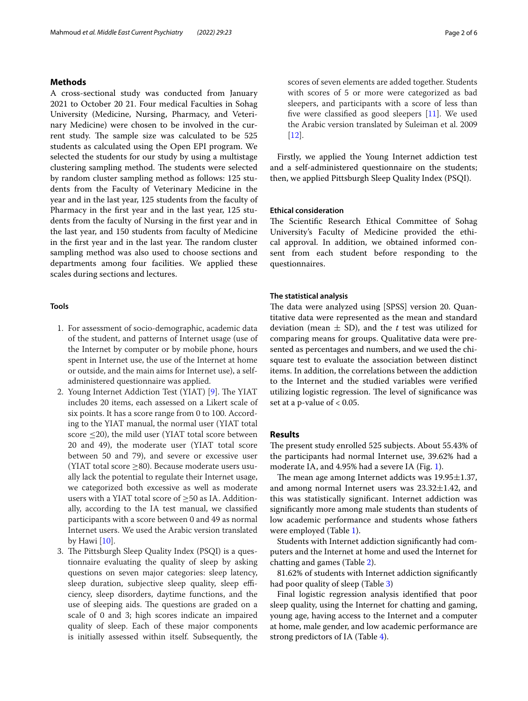# **Methods**

A cross-sectional study was conducted from January 2021 to October 20 21. Four medical Faculties in Sohag University (Medicine, Nursing, Pharmacy, and Veterinary Medicine) were chosen to be involved in the current study. The sample size was calculated to be 525 students as calculated using the Open EPI program. We selected the students for our study by using a multistage clustering sampling method. The students were selected by random cluster sampling method as follows: 125 students from the Faculty of Veterinary Medicine in the year and in the last year, 125 students from the faculty of Pharmacy in the frst year and in the last year, 125 students from the faculty of Nursing in the frst year and in the last year, and 150 students from faculty of Medicine in the first year and in the last year. The random cluster sampling method was also used to choose sections and departments among four facilities. We applied these scales during sections and lectures.

# **Tools**

- 1. For assessment of socio-demographic, academic data of the student, and patterns of Internet usage (use of the Internet by computer or by mobile phone, hours spent in Internet use, the use of the Internet at home or outside, and the main aims for Internet use), a selfadministered questionnaire was applied.
- 2. Young Internet Addiction Test (YIAT) [[9](#page-4-8)]. The YIAT includes 20 items, each assessed on a Likert scale of six points. It has a score range from 0 to 100. According to the YIAT manual, the normal user (YIAT total score  $\leq$ 20), the mild user (YIAT total score between 20 and 49), the moderate user (YIAT total score between 50 and 79), and severe or excessive user (YIAT total score  $\geq$ 80). Because moderate users usually lack the potential to regulate their Internet usage, we categorized both excessive as well as moderate users with a YIAT total score of  $\geq$ 50 as IA. Additionally, according to the IA test manual, we classifed participants with a score between 0 and 49 as normal Internet users. We used the Arabic version translated by Hawi [\[10\]](#page-4-9).
- 3. The Pittsburgh Sleep Quality Index (PSQI) is a questionnaire evaluating the quality of sleep by asking questions on seven major categories: sleep latency, sleep duration, subjective sleep quality, sleep efficiency, sleep disorders, daytime functions, and the use of sleeping aids. The questions are graded on a scale of 0 and 3; high scores indicate an impaired quality of sleep. Each of these major components is initially assessed within itself. Subsequently, the

scores of seven elements are added together. Students with scores of 5 or more were categorized as bad sleepers, and participants with a score of less than fve were classifed as good sleepers [[11\]](#page-4-10). We used the Arabic version translated by Suleiman et al. 2009 [[12\]](#page-4-11).

Firstly, we applied the Young Internet addiction test and a self-administered questionnaire on the students; then, we applied Pittsburgh Sleep Quality Index (PSQI).

## **Ethical consideration**

The Scientific Research Ethical Committee of Sohag University's Faculty of Medicine provided the ethical approval. In addition, we obtained informed consent from each student before responding to the questionnaires.

## **The statistical analysis**

The data were analyzed using [SPSS] version 20. Quantitative data were represented as the mean and standard deviation (mean  $\pm$  SD), and the *t* test was utilized for comparing means for groups. Qualitative data were presented as percentages and numbers, and we used the chisquare test to evaluate the association between distinct items. In addition, the correlations between the addiction to the Internet and the studied variables were verifed utilizing logistic regression. The level of significance was set at a p-value of  $< 0.05$ .

# **Results**

The present study enrolled 525 subjects. About 55.43% of the participants had normal Internet use, 39.62% had a moderate IA, and 4.95% had a severe IA (Fig. [1](#page-2-0)).

The mean age among Internet addicts was  $19.95 \pm 1.37$ , and among normal Internet users was  $23.32 \pm 1.42$ , and this was statistically signifcant. Internet addiction was signifcantly more among male students than students of low academic performance and students whose fathers were employed (Table [1\)](#page-2-1).

Students with Internet addiction signifcantly had computers and the Internet at home and used the Internet for chatting and games (Table [2\)](#page-3-0).

81.62% of students with Internet addiction signifcantly had poor quality of sleep (Table [3](#page-3-1))

Final logistic regression analysis identifed that poor sleep quality, using the Internet for chatting and gaming, young age, having access to the Internet and a computer at home, male gender, and low academic performance are strong predictors of IA (Table [4](#page-3-2)).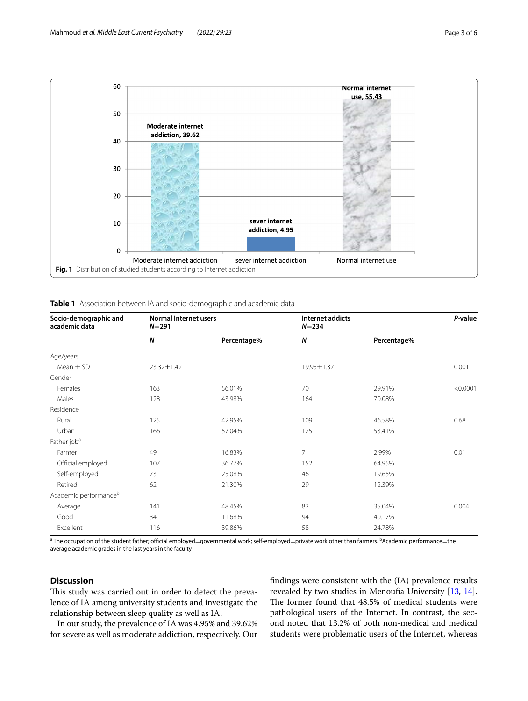

| Socio-demographic and<br>academic data | <b>Normal Internet users</b><br>$N = 291$ |             | Internet addicts<br>$N = 234$ |             | P-value  |
|----------------------------------------|-------------------------------------------|-------------|-------------------------------|-------------|----------|
|                                        | N                                         | Percentage% | N                             | Percentage% |          |
| Age/years                              |                                           |             |                               |             |          |
| Mean $\pm$ SD                          | 23.32±1.42                                |             | 19.95±1.37                    |             | 0.001    |
| Gender                                 |                                           |             |                               |             |          |
| Females                                | 163                                       | 56.01%      | 70                            | 29.91%      | < 0.0001 |
| Males                                  | 128                                       | 43.98%      | 164                           | 70.08%      |          |
| Residence                              |                                           |             |                               |             |          |
| Rural                                  | 125                                       | 42.95%      | 109                           | 46.58%      | 0.68     |
| Urban                                  | 166                                       | 57.04%      | 125                           | 53.41%      |          |
| Father job <sup>a</sup>                |                                           |             |                               |             |          |
| Farmer                                 | 49                                        | 16.83%      | 7                             | 2.99%       | 0.01     |
| Official employed                      | 107                                       | 36.77%      | 152                           | 64.95%      |          |
| Self-employed                          | 73                                        | 25.08%      | 46                            | 19.65%      |          |
| Retired                                | 62                                        | 21.30%      | 29                            | 12.39%      |          |
| Academic performance <sup>b</sup>      |                                           |             |                               |             |          |
| Average                                | 141                                       | 48.45%      | 82                            | 35.04%      | 0.004    |
| Good                                   | 34                                        | 11.68%      | 94                            | 40.17%      |          |
| Excellent                              | 116                                       | 39.86%      | 58                            | 24.78%      |          |

<span id="page-2-1"></span><span id="page-2-0"></span>**Table 1** Association between IA and socio-demographic and academic data

 $^{\rm a}$  The occupation of the student father; official employed=governmental work; self-employed=private work other than farmers.  $^{\rm b}$ Academic performance=the average academic grades in the last years in the faculty

# **Discussion**

This study was carried out in order to detect the prevalence of IA among university students and investigate the relationship between sleep quality as well as IA.

In our study, the prevalence of IA was 4.95% and 39.62% for severe as well as moderate addiction, respectively. Our fndings were consistent with the (IA) prevalence results revealed by two studies in Menoufa University [[13,](#page-4-12) [14](#page-5-0)]. The former found that 48.5% of medical students were pathological users of the Internet. In contrast, the second noted that 13.2% of both non-medical and medical students were problematic users of the Internet, whereas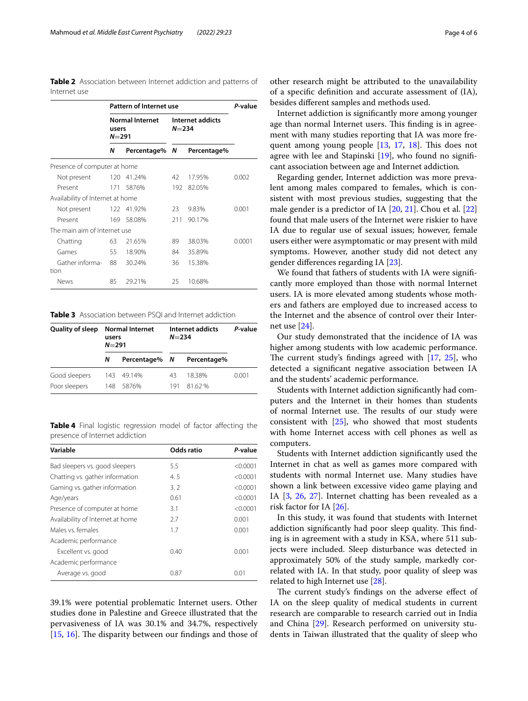<span id="page-3-0"></span>**Table 2** Association between Internet addiction and patterns of Internet use

|                                  | Pattern of Internet use                      |               |                               | P-value     |        |
|----------------------------------|----------------------------------------------|---------------|-------------------------------|-------------|--------|
|                                  | <b>Normal Internet</b><br>users<br>$N = 291$ |               | Internet addicts<br>$N = 234$ |             |        |
|                                  | Ν                                            | Percentage% N |                               | Percentage% |        |
| Presence of computer at home     |                                              |               |                               |             |        |
| Not present                      | 120                                          | 41.24%        | 42                            | 17.95%      | 0.002  |
| Present                          | 171                                          | 5876%         | 192                           | 82.05%      |        |
| Availability of Internet at home |                                              |               |                               |             |        |
| Not present                      |                                              | 122 41.92%    | 23                            | 9.83%       | 0.001  |
| Present                          |                                              | 169 58.08%    | 211                           | 90.17%      |        |
| The main aim of Internet use     |                                              |               |                               |             |        |
| Chatting                         | 63                                           | 21.65%        | 89                            | 38.03%      | 0.0001 |
| Games                            | 55                                           | 18.90%        | 84                            | 35.89%      |        |
| Gather informa-<br>tion          | 88                                           | 30.24%        | 36                            | 15.38%      |        |
| News                             | 85                                           | 29.21%        | 25                            | 10.68%      |        |

<span id="page-3-1"></span>**Table 3** Association between PSQI and Internet addiction

| Quality of sleep | <b>Normal Internet</b><br>users<br>$N = 291$ |               | Internet addicts<br>$N = 234$ |             | P-value |  |
|------------------|----------------------------------------------|---------------|-------------------------------|-------------|---------|--|
|                  | N                                            | Percentage% N |                               | Percentage% |         |  |
| Good sleepers    | 143                                          | 49.14%        | 43                            | 18.38%      | 0.001   |  |
| Poor sleepers    | 148                                          | 5876%         | 191                           | 8162%       |         |  |

<span id="page-3-2"></span>**Table 4** Final logistic regression model of factor affecting the presence of Internet addiction

| Variable                         | Odds ratio | P-value  |
|----------------------------------|------------|----------|
| Bad sleepers vs. good sleepers   | 5.5        | < 0.0001 |
| Chatting vs. gather information  | 4.5        | < 0.0001 |
| Gaming vs. gather information    | 3.2        | < 0.0001 |
| Age/years                        | 0.61       | < 0.0001 |
| Presence of computer at home     | 3.1        | < 0.0001 |
| Availability of Internet at home | 2.7        | 0.001    |
| Males vs. females                | 1.7        | 0.001    |
| Academic performance             |            |          |
| Excellent vs. good               | 0.40       | 0.001    |
| Academic performance             |            |          |
| Average vs. good                 | 0.87       | 0.01     |

39.1% were potential problematic Internet users. Other studies done in Palestine and Greece illustrated that the pervasiveness of IA was 30.1% and 34.7%, respectively  $[15, 16]$  $[15, 16]$  $[15, 16]$  $[15, 16]$ . The disparity between our findings and those of

other research might be attributed to the unavailability of a specifc defnition and accurate assessment of (IA), besides diferent samples and methods used.

Internet addiction is signifcantly more among younger age than normal Internet users. This finding is in agreement with many studies reporting that IA was more frequent among young people  $[13, 17, 18]$  $[13, 17, 18]$  $[13, 17, 18]$  $[13, 17, 18]$  $[13, 17, 18]$ . This does not agree with lee and Stapinski [\[19](#page-5-5)], who found no signifcant association between age and Internet addiction*.*

Regarding gender, Internet addiction was more prevalent among males compared to females, which is consistent with most previous studies, suggesting that the male gender is a predictor of IA [[20,](#page-5-6) [21\]](#page-5-7). Chou et al. [[22](#page-5-8)] found that male users of the Internet were riskier to have IA due to regular use of sexual issues; however, female users either were asymptomatic or may present with mild symptoms. However, another study did not detect any gender diferences regarding IA [\[23](#page-5-9)].

We found that fathers of students with IA were significantly more employed than those with normal Internet users. IA is more elevated among students whose mothers and fathers are employed due to increased access to the Internet and the absence of control over their Internet use [\[24](#page-5-10)].

Our study demonstrated that the incidence of IA was higher among students with low academic performance. The current study's findings agreed with  $[17, 25]$  $[17, 25]$  $[17, 25]$  $[17, 25]$ , who detected a signifcant negative association between IA and the students' academic performance.

Students with Internet addiction signifcantly had computers and the Internet in their homes than students of normal Internet use. The results of our study were consistent with [[25\]](#page-5-11), who showed that most students with home Internet access with cell phones as well as computers.

Students with Internet addiction signifcantly used the Internet in chat as well as games more compared with students with normal Internet use. Many studies have shown a link between excessive video game playing and IA [\[3](#page-4-2), [26](#page-5-12), [27\]](#page-5-13). Internet chatting has been revealed as a risk factor for IA [[26](#page-5-12)].

In this study, it was found that students with Internet addiction significantly had poor sleep quality. This finding is in agreement with a study in KSA, where 511 subjects were included. Sleep disturbance was detected in approximately 50% of the study sample, markedly correlated with IA. In that study, poor quality of sleep was related to high Internet use [\[28\]](#page-5-14).

The current study's findings on the adverse effect of IA on the sleep quality of medical students in current research are comparable to research carried out in India and China [[29\]](#page-5-15). Research performed on university students in Taiwan illustrated that the quality of sleep who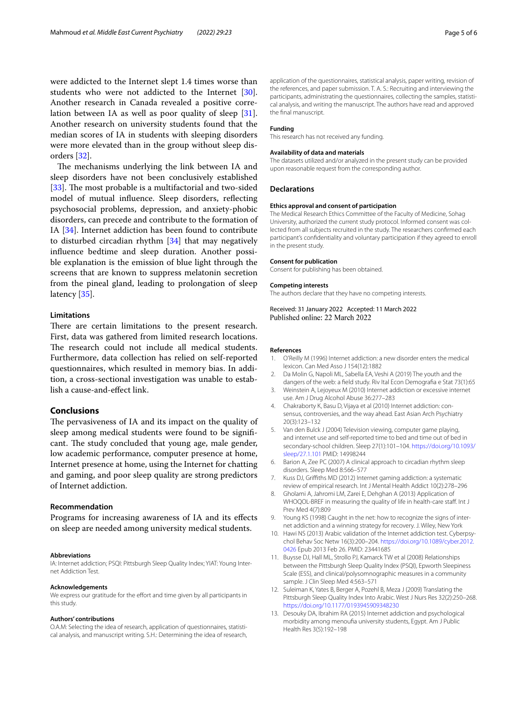were addicted to the Internet slept 1.4 times worse than students who were not addicted to the Internet [\[30](#page-5-16)]. Another research in Canada revealed a positive correlation between IA as well as poor quality of sleep [\[31](#page-5-17)]. Another research on university students found that the median scores of IA in students with sleeping disorders were more elevated than in the group without sleep disorders [\[32](#page-5-18)].

The mechanisms underlying the link between IA and sleep disorders have not been conclusively established [[33\]](#page-5-19). The most probable is a multifactorial and two-sided model of mutual infuence. Sleep disorders, refecting psychosocial problems, depression, and anxiety-phobic disorders, can precede and contribute to the formation of IA [\[34](#page-5-20)]. Internet addiction has been found to contribute to disturbed circadian rhythm [\[34](#page-5-20)] that may negatively infuence bedtime and sleep duration. Another possible explanation is the emission of blue light through the screens that are known to suppress melatonin secretion from the pineal gland, leading to prolongation of sleep latency [\[35](#page-5-21)].

## **Limitations**

There are certain limitations to the present research. First, data was gathered from limited research locations. The research could not include all medical students. Furthermore, data collection has relied on self-reported questionnaires, which resulted in memory bias. In addition, a cross-sectional investigation was unable to establish a cause-and-efect link.

## **Conclusions**

The pervasiveness of IA and its impact on the quality of sleep among medical students were found to be signifcant. The study concluded that young age, male gender, low academic performance, computer presence at home, Internet presence at home, using the Internet for chatting and gaming, and poor sleep quality are strong predictors of Internet addiction.

## **Recommendation**

Programs for increasing awareness of IA and its efects on sleep are needed among university medical students.

#### **Abbreviations**

IA: Internet addiction; PSQI: Pittsburgh Sleep Quality Index; YIAT: Young Internet Addiction Test.

#### **Acknowledgements**

We express our gratitude for the effort and time given by all participants in this study.

## **Authors' contributions**

O.A.M: Selecting the idea of research, application of questionnaires, statistical analysis, and manuscript writing. S.H.: Determining the idea of research,

application of the questionnaires, statistical analysis, paper writing, revision of the references, and paper submission. T. A. S.: Recruiting and interviewing the participants, administrating the questionnaires, collecting the samples, statistical analysis, and writing the manuscript. The authors have read and approved the fnal manuscript.

#### **Funding**

This research has not received any funding.

## **Availability of data and materials**

The datasets utilized and/or analyzed in the present study can be provided upon reasonable request from the corresponding author.

#### **Declarations**

#### **Ethics approval and consent of participation**

The Medical Research Ethics Committee of the Faculty of Medicine, Sohag University, authorized the current study protocol. Informed consent was collected from all subjects recruited in the study. The researchers confrmed each participant's confdentiality and voluntary participation if they agreed to enroll in the present study.

#### **Consent for publication**

Consent for publishing has been obtained.

#### **Competing interests**

The authors declare that they have no competing interests.

Received: 31 January 2022 Accepted: 11 March 2022

## **References**

- <span id="page-4-0"></span>1. O'Reilly M (1996) Internet addiction: a new disorder enters the medical lexicon. Can Med Asso J 154(12):1882
- <span id="page-4-1"></span>2. Da Molin G, Napoli ML, Sabella EA, Veshi A (2019) The youth and the dangers of the web: a feld study. Riv Ital Econ Demografa e Stat 73(1):65 3. Weinstein A, Lejoyeux M (2010) Internet addiction or excessive internet
- <span id="page-4-2"></span>use. Am J Drug Alcohol Abuse 36:277–283
- <span id="page-4-3"></span>4. Chakraborty K, Basu D, Vijaya et al (2010) Internet addiction: consensus, controversies, and the way ahead. East Asian Arch Psychiatry 20(3):123–132
- <span id="page-4-4"></span>5. Van den Bulck J (2004) Television viewing, computer game playing, and internet use and self-reported time to bed and time out of bed in secondary-school children. Sleep 27(1):101–104. [https://doi.org/10.1093/](https://doi.org/10.1093/sleep/27.1.101) [sleep/27.1.101](https://doi.org/10.1093/sleep/27.1.101) PMID: 14998244
- <span id="page-4-5"></span>6. Barion A, Zee PC (2007) A clinical approach to circadian rhythm sleep disorders. Sleep Med 8:566–577
- <span id="page-4-6"></span>7. Kuss DJ, Grifths MD (2012) Internet gaming addiction: a systematic review of empirical research. Int J Mental Health Addict 10(2):278–296
- <span id="page-4-7"></span>8. Gholami A, Jahromi LM, Zarei E, Dehghan A (2013) Application of WHOQOL-BREF in measuring the quality of life in health-care staf. Int J Prev Med 4(7):809
- <span id="page-4-8"></span>9. Young KS (1998) Caught in the net: how to recognize the signs of internet addiction and a winning strategy for recovery. J. Wiley, New York
- <span id="page-4-9"></span>10. Hawi NS (2013) Arabic validation of the Internet addiction test. Cyberpsychol Behav Soc Netw 16(3):200–204. [https://doi.org/10.1089/cyber.2012.](https://doi.org/10.1089/cyber.2012.0426) [0426](https://doi.org/10.1089/cyber.2012.0426) Epub 2013 Feb 26. PMID: 23441685
- <span id="page-4-10"></span>11. Buysse DJ, Hall ML, Strollo PJ, Kamarck TW et al (2008) Relationships between the Pittsburgh Sleep Quality Index (PSQI), Epworth Sleepiness Scale (ESS), and clinical/polysomnographic measures in a community sample. J Clin Sleep Med 4:563–571
- <span id="page-4-11"></span>12. Suleiman K, Yates B, Berger A, Pozehl B, Meza J (2009) Translating the Pittsburgh Sleep Quality Index Into Arabic. West J Nurs Res 32(2):250–268. <https://doi.org/10.1177/0193945909348230>
- <span id="page-4-12"></span>13. Desouky DA, Ibrahim RA (2015) Internet addiction and psychological morbidity among menoufa university students, Egypt. Am J Public Health Res 3(5):192–198